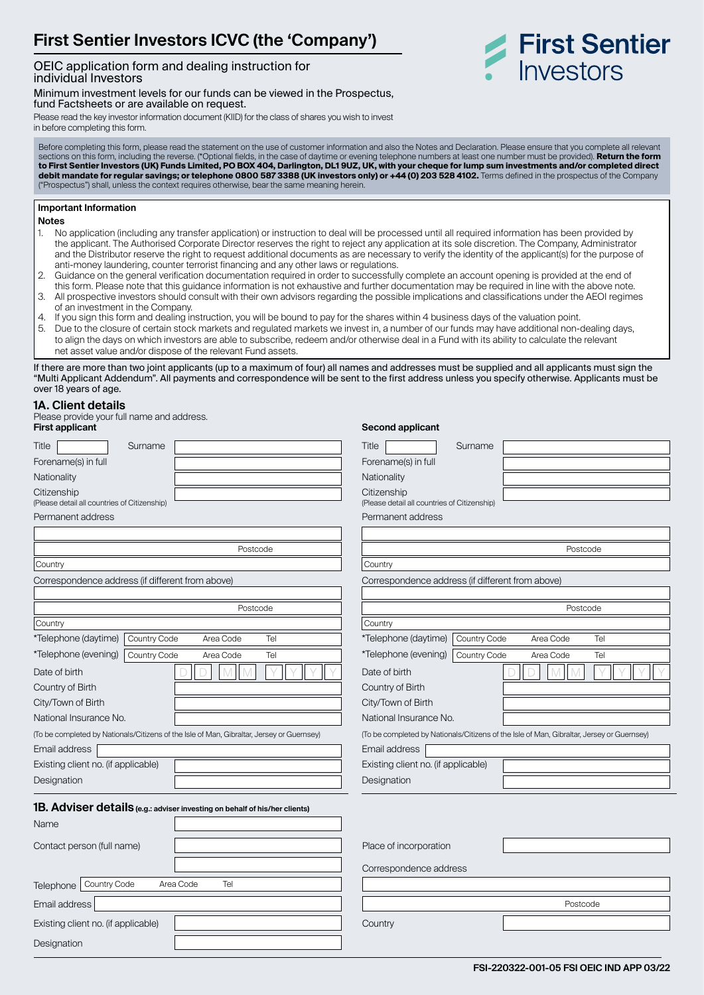# **First Sentier Investors ICVC (the 'Company')**

### OEIC application form and dealing instruction for individual Investors

Minimum investment levels for our funds can be viewed in the Prospectus, fund Factsheets or are available on request.



in before completing this form.

Before completing this form, please read the statement on the use of customer information and also the Notes and Declaration. Please ensure that you complete all relevant sections on this form, including the reverse. (\*Optional fields, in the case of daytime or evening telephone numbers at least one number must be provided). Return the form to First Sentier Investors (UK) Funds Limited, PO BOX 404, Darlington, DL1 9UZ, UK, with your cheque for lump sum investments and/or completed direct<br><mark>debit mandate for regular savings; or telephone 0800 587 3388 (UK inves</mark> ("Prospectus") shall, unless the context requires otherwise, bear the same meaning herein.

#### **Important Information**

**Notes**

- 1. No application (including any transfer application) or instruction to deal will be processed until all required information has been provided by the applicant. The Authorised Corporate Director reserves the right to reject any application at its sole discretion. The Company, Administrator and the Distributor reserve the right to request additional documents as are necessary to verify the identity of the applicant(s) for the purpose of anti-money laundering, counter terrorist financing and any other laws or regulations.
- 2. Guidance on the general verification documentation required in order to successfully complete an account opening is provided at the end of
- this form. Please note that this guidance information is not exhaustive and further documentation may be required in line with the above note. 3. All prospective investors should consult with their own advisors regarding the possible implications and classifications under the AEOI regimes of an investment in the Company.
- 4. If you sign this form and dealing instruction, you will be bound to pay for the shares within 4 business days of the valuation point.
- 5. Due to the closure of certain stock markets and regulated markets we invest in, a number of our funds may have additional non-dealing days, to align the days on which investors are able to subscribe, redeem and/or otherwise deal in a Fund with its ability to calculate the relevant net asset value and/or dispose of the relevant Fund assets.

If there are more than two joint applicants (up to a maximum of four) all names and addresses must be supplied and all applicants must sign the "Multi Applicant Addendum". All payments and correspondence will be sent to the first address unless you specify otherwise. Applicants must be over 18 years of age.

#### **1A. Client details**

| Please provide your full name and address.<br><b>First applicant</b>                      | Second applicant                                                                          |
|-------------------------------------------------------------------------------------------|-------------------------------------------------------------------------------------------|
| Title<br>Surname                                                                          | Title<br>Surname                                                                          |
| Forename(s) in full                                                                       | Forename(s) in full                                                                       |
| Nationality                                                                               | Nationality                                                                               |
| Citizenship<br>(Please detail all countries of Citizenship)                               | Citizenship<br>(Please detail all countries of Citizenship)                               |
| Permanent address                                                                         | Permanent address                                                                         |
|                                                                                           |                                                                                           |
| Postcode                                                                                  | Postcode                                                                                  |
| Country                                                                                   | Country                                                                                   |
| Correspondence address (if different from above)                                          | Correspondence address (if different from above)                                          |
| Postcode                                                                                  | Postcode                                                                                  |
| Country                                                                                   | Country                                                                                   |
| *Telephone (daytime)<br>Country Code<br>Tel<br>Area Code                                  | *Telephone (daytime)<br>Country Code<br>Tel<br>Area Code                                  |
| *Telephone (evening)<br>Country Code<br>Area Code<br>Tel                                  | *Telephone (evening)<br>Country Code<br>Area Code<br>Tel                                  |
| Date of birth                                                                             | Date of birth                                                                             |
| Country of Birth                                                                          | Country of Birth                                                                          |
| City/Town of Birth                                                                        | City/Town of Birth                                                                        |
| National Insurance No.                                                                    | National Insurance No.                                                                    |
| (To be completed by Nationals/Citizens of the Isle of Man, Gibraltar, Jersey or Guernsey) | (To be completed by Nationals/Citizens of the Isle of Man, Gibraltar, Jersey or Guernsey) |
| Email address                                                                             | Email address                                                                             |
| Existing client no. (if applicable)                                                       | Existing client no. (if applicable)                                                       |
| Designation                                                                               | Designation                                                                               |
| 1B. Adviser details (e.g.: adviser investing on behalf of his/her clients)<br>Name        |                                                                                           |
| Contact person (full name)                                                                | Place of incorporation                                                                    |
|                                                                                           | Correspondence address                                                                    |
| Country Code<br>Area Code<br>Tel<br>Telephone                                             |                                                                                           |
| Email address                                                                             | Postcode                                                                                  |
| Existing client no. (if applicable)                                                       | Country                                                                                   |
| Designation                                                                               |                                                                                           |

First Sentier

Investors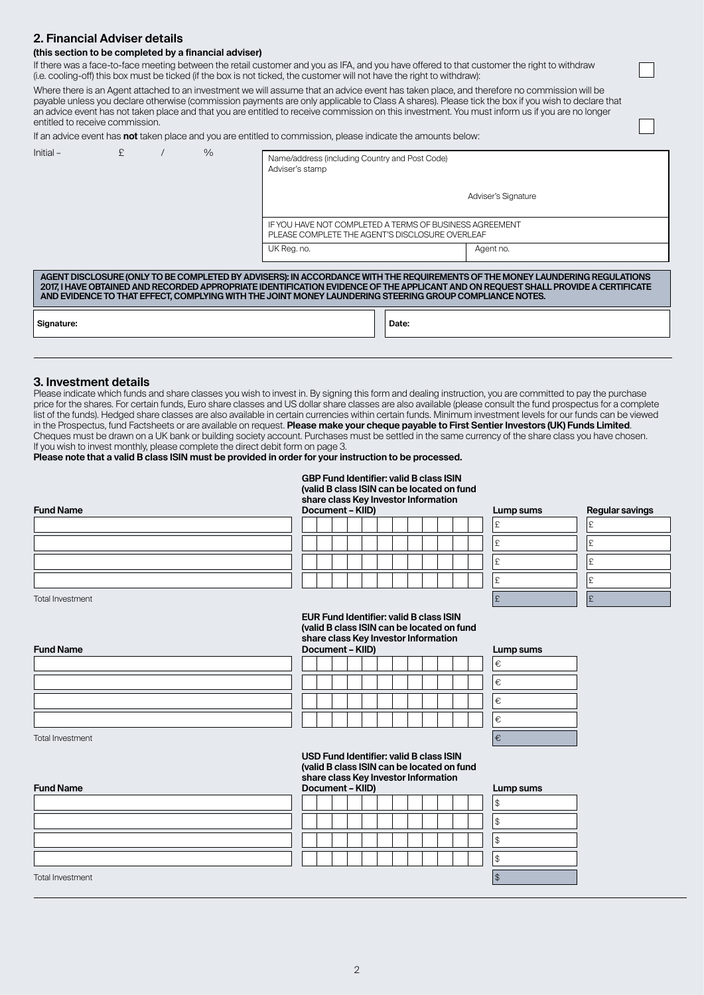### **2. Financial Adviser details**

#### **(this section to be completed by a financial adviser)**

If there was a face-to-face meeting between the retail customer and you as IFA, and you have offered to that customer the right to withdraw (i.e. cooling‑off) this box must be ticked (if the box is not ticked, the customer will not have the right to withdraw):

Where there is an Agent attached to an investment we will assume that an advice event has taken place, and therefore no commission will be payable unless you declare otherwise (commission payments are only applicable to Class A shares). Please tick the box if you wish to declare that an advice event has not taken place and that you are entitled to receive commission on this investment. You must inform us if you are no longer entitled to receive commission.

| If an advice event has <b>not</b> taken place and you are entitled to commission, please indicate the amounts below: |  |
|----------------------------------------------------------------------------------------------------------------------|--|
|----------------------------------------------------------------------------------------------------------------------|--|

| $Initial -$ | £ | $\frac{0}{0}$ | Name/address (including Country and Post Code)<br>Adviser's stamp                                                                                                                                                                                                                                                                                                             |                     |
|-------------|---|---------------|-------------------------------------------------------------------------------------------------------------------------------------------------------------------------------------------------------------------------------------------------------------------------------------------------------------------------------------------------------------------------------|---------------------|
|             |   |               |                                                                                                                                                                                                                                                                                                                                                                               | Adviser's Signature |
|             |   |               | IF YOU HAVE NOT COMPLETED A TERMS OF BUSINESS AGREEMENT<br>PLEASE COMPLETE THE AGENT'S DISCLOSURE OVERLEAF                                                                                                                                                                                                                                                                    |                     |
|             |   |               | UK Reg. no.                                                                                                                                                                                                                                                                                                                                                                   | Agent no.           |
|             |   |               | AGENT DISCLOSURE (ONLY TO BE COMPLETED BY ADVISERS): IN ACCORDANCE WITH THE REQUIREMENTS OF THE MONEY LAUNDERING REGULATIONS<br>2017, I HAVE OBTAINED AND RECORDED APPROPRIATE IDENTIFICATION EVIDENCE OF THE APPLICANT AND ON REQUEST SHALL PROVIDE A CERTIFICATE<br>AND EVIDENCE TO THAT EFFECT, COMPLYING WITH THE JOINT MONEY LAUNDERING STEERING GROUP COMPLIANCE NOTES. |                     |
| Signature:  |   |               | Date:                                                                                                                                                                                                                                                                                                                                                                         |                     |

#### **3. Investment details**

Please indicate which funds and share classes you wish to invest in. By signing this form and dealing instruction, you are committed to pay the purchase price for the shares. For certain funds, Euro share classes and US dollar share classes are also available (please consult the fund prospectus for a complete list of the funds). Hedged share classes are also available in certain currencies within certain funds. Minimum investment levels for our funds can be viewed in the Prospectus, fund Factsheets or are available on request. **Please make your cheque payable to First Sentier Investors (UK) Funds Limited**. Cheques must be drawn on a UK bank or building society account. Purchases must be settled in the same currency of the share class you have chosen. If you wish to invest monthly, please complete the direct debit form on page 3.

**Please note that a valid B class ISIN must be provided in order for your instruction to be processed.**

#### **GBP Fund Identifier: valid B class ISIN (valid B class ISIN can be located on fund share class Key Investor Information Document – KIID) Lump sums**

| Lump sums | Regular savings |
|-----------|-----------------|
| £         | £               |
| £         | £               |
| £         | £               |
| £         | £               |
| £         | £               |

Total Investment  $\begin{bmatrix} 1 & 2 \end{bmatrix}$ 

**Fund Name**

**Fund Name**

#### **EUR Fund Identifier: valid B class ISIN (valid B class ISIN can be located on fund share class Key Investor Information Document – KIID) Lump sums**

|  | --------- |  |  |  |  |  |
|--|-----------|--|--|--|--|--|
|  |           |  |  |  |  |  |
|  |           |  |  |  |  |  |
|  |           |  |  |  |  |  |
|  |           |  |  |  |  |  |

| Lump sums |  |  |  |  |
|-----------|--|--|--|--|
| €         |  |  |  |  |
| €         |  |  |  |  |
| €         |  |  |  |  |
| €         |  |  |  |  |
|           |  |  |  |  |

Total Investment  $\mathfrak{f}$ 

**USD Fund Identifier: valid B class ISIN (valid B class ISIN can be located on fund share class Key Investor Information Document – KIID) Lump sums**

| <b>Fund Name</b>        | Document - KIID) | Lump sums |
|-------------------------|------------------|-----------|
|                         |                  | 1\$       |
|                         |                  | \$        |
|                         |                  | \$        |
|                         |                  | 1\$       |
| <b>Total Investment</b> |                  |           |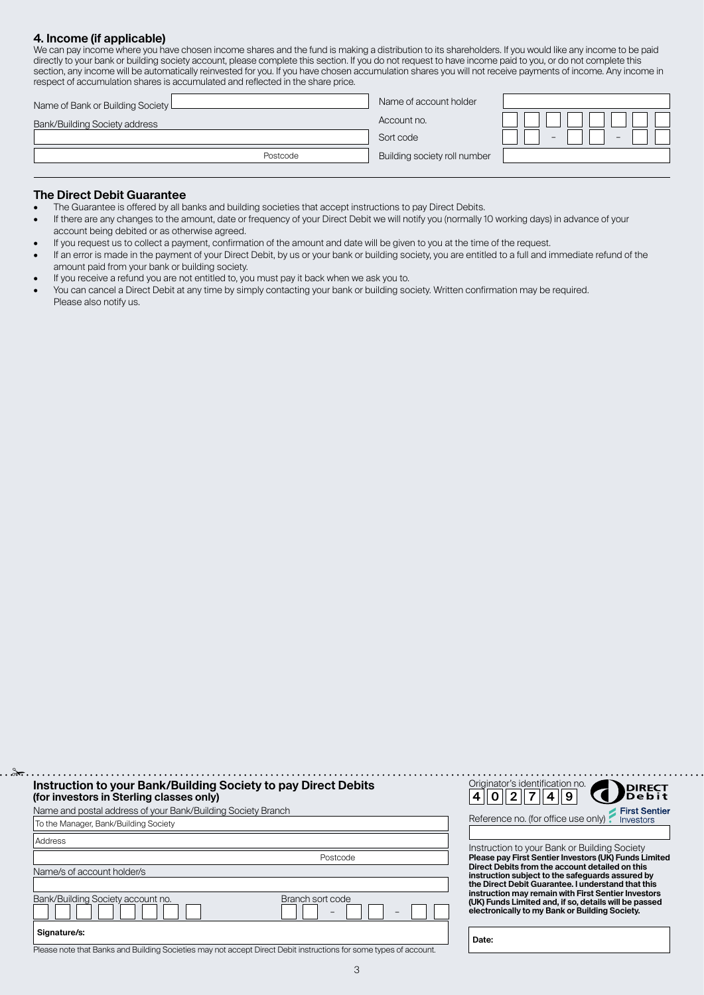### **4. Income (if applicable)** We can pay income where you have chosen income shares and the fund is making a distribution to its shareholders. If you would like any income to be paid distribution to its shareholders. If you would like any income to be

| directly to your bank or building society account, please complete this section. If you do not request to have income paid to you, or do not complete this<br>section, any income will be automatically reinvested for you. If you have chosen accumulation shares you will not receive payments of income. Any income in<br>respect of accumulation shares is accumulated and reflected in the share price. |                              |  |  |  |  |  |
|--------------------------------------------------------------------------------------------------------------------------------------------------------------------------------------------------------------------------------------------------------------------------------------------------------------------------------------------------------------------------------------------------------------|------------------------------|--|--|--|--|--|
| Name of Bank or Building Society L                                                                                                                                                                                                                                                                                                                                                                           | Name of account holder       |  |  |  |  |  |
| Bank/Building Society address                                                                                                                                                                                                                                                                                                                                                                                | Account no.                  |  |  |  |  |  |
|                                                                                                                                                                                                                                                                                                                                                                                                              | Sort code                    |  |  |  |  |  |
| Postcode                                                                                                                                                                                                                                                                                                                                                                                                     | Building society roll number |  |  |  |  |  |
|                                                                                                                                                                                                                                                                                                                                                                                                              |                              |  |  |  |  |  |

#### **The Direct Debit Guarantee**

 $\cdot \cdot \frac{8}{5}$ 

- The Guarantee is offered by all banks and building societies that accept instructions to pay Direct Debits.<br>• If there are any changes to the amount date or frequency of your Direct Debit we will notify you (normally)
- If there are any changes to the amount, date or frequency of your Direct Debit we will notify you (normally 10 working days) in advance of your account being debited or as otherwise agreed.
- If you request us to collect a payment, confirmation of the amount and date will be given to you at the time of the request.
- If an error is made in the payment of your Direct Debit, by us or your bank or building society, you are entitled to a full and immediate refund of the amount paid from your bank or building society.
- If you receive a refund you are not entitled to, you must pay it back when we ask you to.<br>• You can cancel a Direct Debit at any time by simply contacting your bank or building so
- You can cancel a Direct Debit at any time by simply contacting your bank or building society. Written confirmation may be required. Please also notify us.

| Instruction to your Bank/Building Society to pay Direct Debits<br>(for investors in Sterling classes only) |                  | Originator's ide                                            |
|------------------------------------------------------------------------------------------------------------|------------------|-------------------------------------------------------------|
| Name and postal address of your Bank/Building Society Branch                                               |                  |                                                             |
| To the Manager, Bank/Building Society                                                                      |                  | Reference no. (f                                            |
| Address                                                                                                    |                  | Instruction to yo                                           |
|                                                                                                            | Postcode         | <b>Please pay First:</b>                                    |
| Name/s of account holder/s                                                                                 |                  | <b>Direct Debits from</b><br>instruction subje              |
|                                                                                                            |                  | the Direct Debit                                            |
| Bank/Building Society account no.                                                                          | Branch sort code | instruction may r<br>(UK) Funds Limite<br>electronically to |
| Signature/s:                                                                                               |                  | Date:                                                       |



bur Bank or Building Society **Please pay First Sentier Investors (UK) Funds Limited Direct Debits from the account detailed on this instruction subject to the safeguards assured by the Direct Debit Guarantee. I understand that this instruction may remain with First Sentier Investors (UK) Funds Limited and, if so, details will be passed electronically to my Bank or Building Society.**

Please note that Banks and Building Societies may not accept Direct Debit instructions for some types of account.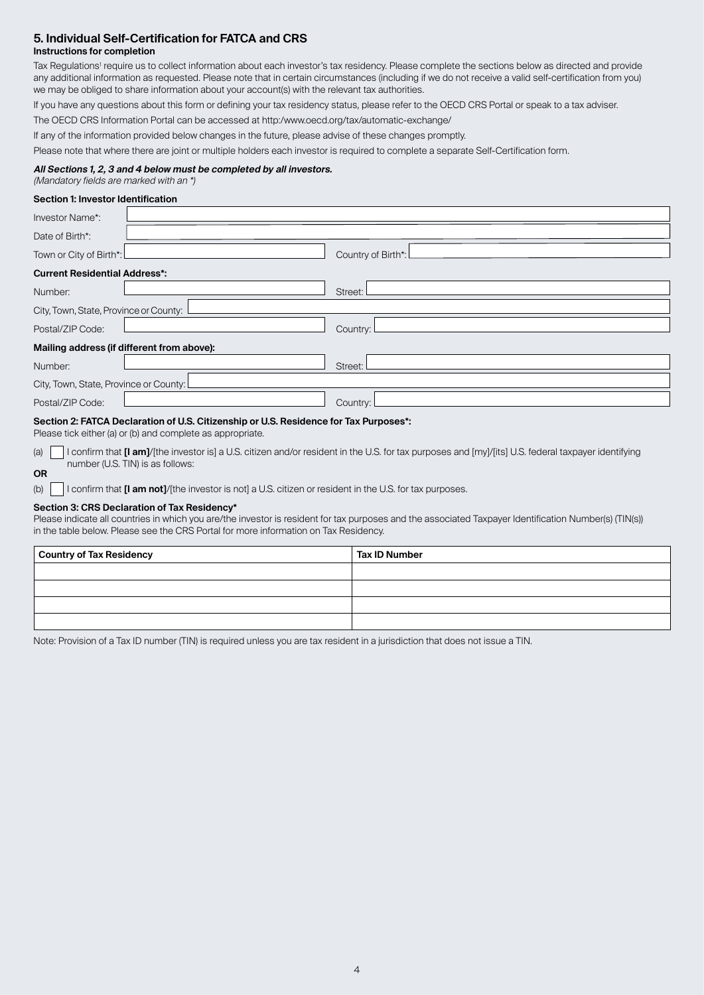# **5. Individual Self-Certification for FATCA and CRS**

# **Instructions for completion**

Tax Regulations' require us to collect information about each investor's tax residency. Please complete the sections below as directed and provide any additional information as requested. Please note that in certain circumstances (including if we do not receive a valid self-certification from you) we may be obliged to share information about your account(s) with the relevant tax authorities.

If you have any questions about this form or defining your tax residency status, please refer to the OECD CRS Portal or speak to a tax adviser.

The OECD CRS Information Portal can be accessed at http:/www.oecd.org/tax/automatic‑exchange/

If any of the information provided below changes in the future, please advise of these changes promptly.

Please note that where there are joint or multiple holders each investor is required to complete a separate Self-Certification form.

#### **All Sections 1, 2, 3 and 4 below must be completed by all investors.**

#### (Mandatory fields are marked with an \*) **Section 1: Investor Identification**

| Section I. Investor Identification                |
|---------------------------------------------------|
| Investor Name*:                                   |
| Date of Birth*:                                   |
| Country of Birth*: L<br>Town or City of Birth*: L |
| <b>Current Residential Address*:</b>              |
| Street: L<br>Number:                              |
| City, Town, State, Province or County: L          |
| Postal/ZIP Code:<br>Country:                      |
| Mailing address (if different from above):        |
| Street: I<br>Number:                              |
| City, Town, State, Province or County: L          |
| Postal/ZIP Code:<br>Country:                      |

#### **Section 2: FATCA Declaration of U.S. Citizenship or U.S. Residence for Tax Purposes\*:**

Please tick either (a) or (b) and complete as appropriate.

(a) **I** confirm that **[I am]**/[the investor is] a U.S. citizen and/or resident in the U.S. for tax purposes and [my]/[its] U.S. federal taxpayer identifying number (U.S. TIN) is as follows: **OR**

(b) I confirm that **[I am not]**/[the investor is not] a U.S. citizen or resident in the U.S. for tax purposes.

#### **Section 3: CRS Declaration of Tax Residency\***

Please indicate all countries in which you are/the investor is resident for tax purposes and the associated Taxpayer Identification Number(s) (TIN(s)) in the table below. Please see the CRS Portal for more information on Tax Residency.

| Country of Tax Residency | Tax ID Number |
|--------------------------|---------------|
|                          |               |
|                          |               |
|                          |               |
|                          |               |

Note: Provision of a Tax ID number (TIN) is required unless you are tax resident in a jurisdiction that does not issue a TIN.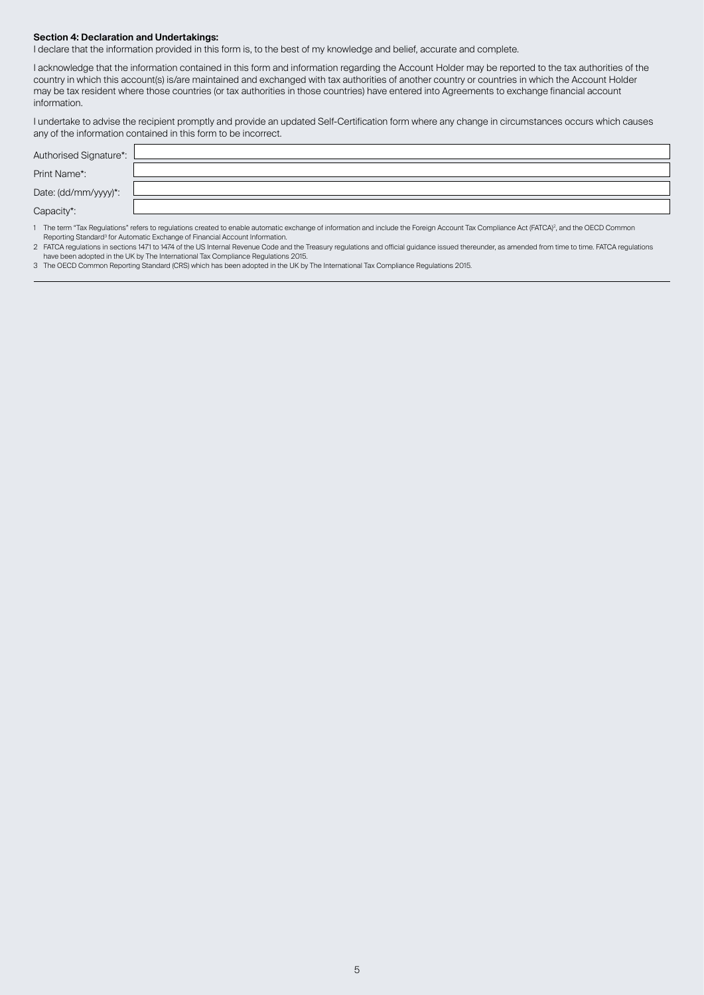#### **Section 4: Declaration and Undertakings:**

I declare that the information provided in this form is, to the best of my knowledge and belief, accurate and complete.

I acknowledge that the information contained in this form and information regarding the Account Holder may be reported to the tax authorities of the country in which this account(s) is/are maintained and exchanged with tax authorities of another country or countries in which the Account Holder may be tax resident where those countries (or tax authorities in those countries) have entered into Agreements to exchange financial account information.

I undertake to advise the recipient promptly and provide an updated Self‑Certification form where any change in circumstances occurs which causes any of the information contained in this form to be incorrect.

| Authorised Signature*: |  |
|------------------------|--|
| Print Name*:           |  |
| Date: (dd/mm/yyyy)*:   |  |
| Capacity*:             |  |
|                        |  |

1 The term "Tax Regulations" refers to regulations created to enable automatic exchange of information and include the Foreign Account Tax Compliance Act (FATCA)<sup>2</sup>, and the OECD Common Reporting Standard<sup>3</sup> for Automatic Exchange of Financial Account Information.

2 - FAICA regulations in sections 14/1 to 14/4 of the US Internal Revenue Code and the Ireasury regulations and official guidance issued thereunder, as amended from time to time. FAICA regulations and been adopted in the U

3 The OECD Common Reporting Standard (CRS) which has been adopted in the UK by The International Tax Compliance Regulations 2015.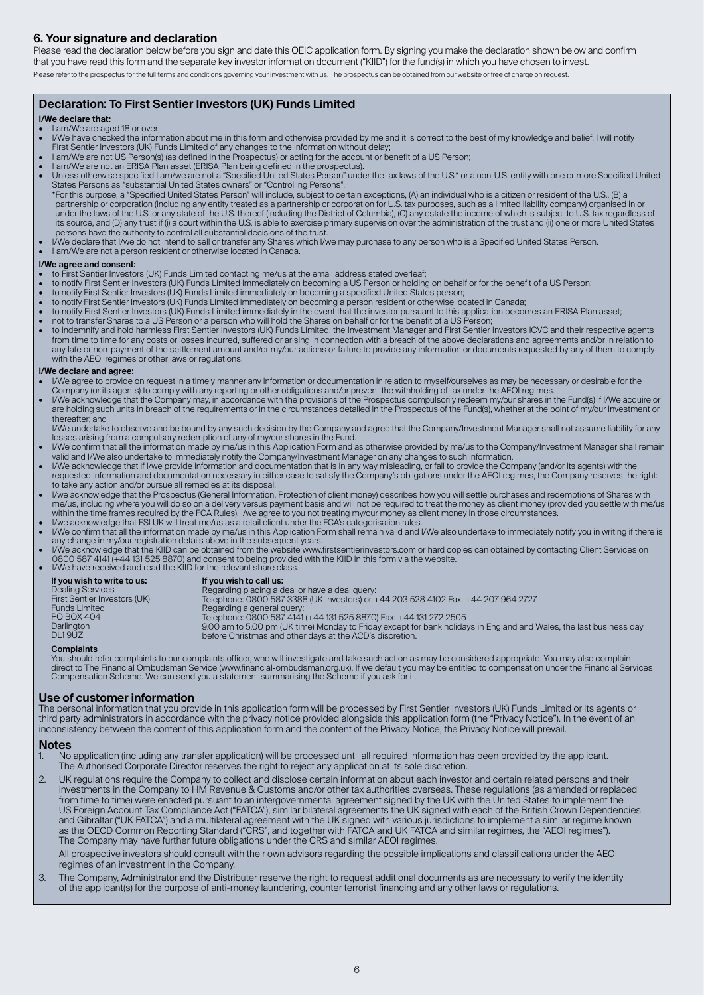# **6. Your signature and declaration**

Please read the declaration below before you sign and date this OEIC application form. By signing you make the declaration shown below and confirm that you have read this form and the separate key investor information document ("KIID") for the fund(s) in which you have chosen to invest. Please refer to the prospectus for the full terms and conditions governing your investment with us. The prospectus can be obtained from our website or free of charge on request.

### **Declaration: To First Sentier Investors (UK) Funds Limited**

#### **I/We declare that:**

- I am/We are aged 18 or over;
- I/We have checked the information about me in this form and otherwise provided by me and it is correct to the best of my knowledge and belief. I will notify
- First Sentier Investors (UK) Funds Limited of any changes to the information without delay;<br>I am/We are not US Person(s) (as defined in the Prospectus) or acting for the account or benefit of a US Person<br>I am/We are not an
- 
- Unless otherwise specified I am/we are not a "Specified United States Person" under the tax laws of the U.S.\* or a non‑U.S. entity with one or more Specified United States Persons as "substantial United States owners" or "Controlling Persons". \*For this purpose, a "Specified United States Person" will include, subject to certain exceptions, (A) an individual who is a citizen or resident of the U.S., (B) a<br>partnership or corporation (including any entity treated under the laws of the U.S. or any state of the U.S. thereof (including the District of Columbia), (C) any estate the income of which is subject to U.S. tax regardless of<br>its source, and (D) any trust if (i) a court within persons have the authority to control all substantial decisions of the trust.
- I/We declare that I/we do not intend to sell or transfer any Shares which I/we may purchase to any person who is a Specified United States Person. I am/We are not a person resident or otherwise located in Canada.

- **I/We agree and consent:** to First Sentier Investors (UK) Funds Limited contacting me/us at the email address stated overleaf;
- to notify First Sentier Investors (UK) Funds Limited immediately on becoming a US Person or holding on behalf or for the benefit of a US Person;
- 
- to notify First Sentier Investors (UK) Funds Limited immediately on becoming a specified United States person;<br>• to notify First Sentier Investors (UK) Funds Limited immediately on becoming a person resident or otherwise
- to notify First Sentier Investors (UK) Funds Limited immediately in the event that the investor pursuant to this application becomes an ERISA Plan asset;
- not to transfer Shares to a US Person or a person who will hold the Shares on behalf or for the benefit of a US Person;<br>● to indemnify and hold harmless First Sentier Investors (UK) Funds Limited, the Investment Manager from time to time for any costs or losses incurred, suffered or arising in connection with a breach of the above declarations and agreements and/or in relation to any late or non‑payment of the settlement amount and/or my/our actions or failure to provide any information or documents requested by any of them to comply with the AEOI regimes or other laws or regulations.

#### **I/We declare and agree:**

- I/We agree to provide on request in a timely manner any information or documentation in relation to myself/ourselves as may be necessary or desirable for the Company (or its agents) to comply with any reporting or other ob
- I/We acknowledge that the Company may, in accordance with the provisions of the Prospectus compulsorily redeem my/our shares in the Fund(s) if I/We acquire or are holding such units in breach of the requirements or in the circumstances detailed in the Prospectus of the Fund(s), whether at the point of my/our investment or thereafter; and
- I/We undertake to observe and be bound by any such decision by the Company and agree that the Company/Investment Manager shall not assume liability for any<br>Iosses arising from a compulsory redemption of any of my/our share
- I/We confirm that all the information made by me/us in this Application Form and as otherwise provided by me/us to the Company/Investment Manager shall remain valid and I/We also undertake to immediately notify the Company/Investment Manager on any changes to such information.
- I/We acknowledge that if I/we provide information and documentation that is in any way misleading, or fail to provide the Company (and/or its agents) with the compary (and/or its agents) with the cassary in either case to to take any action and/or pursue all remedies at its disposal.
- live acknowledge that the Prospectus (General Information, Protection of client money) describes how you will settle purchases and redemptions of Shares with [/ve/thensteral Information, Protection of client money (servi
- within the time frames required by the FCA Rules). I/we agree to you not treating my/our money as client money in those circumstances.<br>• I/we acknowledge that FSI UK will treat me/us as a retail client under the FCA's cate
- any change in my/our registration details above in the subsequent years.<br>I/We acknowledge that the KIID can be obtained from the website www.firstsentierinvestors.com or hard copies can obtained by contacting Client Servic
- I/We have received and read the KIID for the relevant share class.

| Darlington<br>DL19UZ<br>before Christmas and other days at the ACD's discretion. | If you wish to write to us:<br><b>Dealing Services</b><br>First Sentier Investors (UK)<br><b>Funds Limited</b><br>PO BOX 404 | If you wish to call us:<br>Regarding placing a deal or have a deal query:<br>Telephone: 0800 587 3388 (UK Investors) or +44 203 528 4102 Fax: +44 207 964 2727<br>Regarding a general query:<br>Telephone: 0800 587 4141 (+44 131 525 8870) Fax: +44 131 272 2505<br>9.00 am to 5.00 pm (UK time) Monday to Friday except for bank holidays in England and Wales, the last business day |
|----------------------------------------------------------------------------------|------------------------------------------------------------------------------------------------------------------------------|-----------------------------------------------------------------------------------------------------------------------------------------------------------------------------------------------------------------------------------------------------------------------------------------------------------------------------------------------------------------------------------------|
|----------------------------------------------------------------------------------|------------------------------------------------------------------------------------------------------------------------------|-----------------------------------------------------------------------------------------------------------------------------------------------------------------------------------------------------------------------------------------------------------------------------------------------------------------------------------------------------------------------------------------|

#### **Complaints**

You should refer complaints to our complaints officer, who will investigate and take such action as may be considered appropriate. You may also complain direct to The Financial Ombudsman Service (www.financial-ombudsman.org.uk). If we default you may be entitled to compensation under the Financial Services<br>Compensation Scheme. We can send you a statement summarising the Sc

#### **Use of customer information**

The personal information that you provide in this application form will be processed by First Sentier Investors (UK) Funds Limited or its agents or third party administrators in accordance with the privacy notice provided alongside this application form (the "Privacy Notice"). In the event of an inconsistency between the content of this application form and the content of the Privacy Notice, the Privacy Notice will prevail.

#### **Notes**

- 1. No application (including any transfer application) will be processed until all required information has been provided by the applicant. The Authorised Corporate Director reserves the right to reject any application at its sole discretion.
- 2. UK regulations require the Company to collect and disclose certain information about each investor and certain related persons and their investments in the Company to HM Revenue & Customs and/or other tax authorities overseas. These regulations (as amended or replaced from time to time) were enacted pursuant to an intergovernmental agreement signed by the UK with the United States to implement the US Foreign Account Tax Compliance Act ("FATCA"), similar bilateral agreements the UK signed with each of the British Crown Dependencies and Gibraltar ("UK FATCA") and a multilateral agreement with the UK signed with various jurisdictions to implement a similar regime known as the OECD Common Reporting Standard ("CRS", and together with FATCA and UK FATCA and similar regimes, the "AEOI regimes"). The Company may have further future obligations under the CRS and similar AEOI regimes.

 All prospective investors should consult with their own advisors regarding the possible implications and classifications under the AEOI regimes of an investment in the Company.

3. The Company, Administrator and the Distributer reserve the right to request additional documents as are necessary to verify the identity of the applicant(s) for the purpose of anti-money laundering, counter terrorist financing and any other laws or regulations.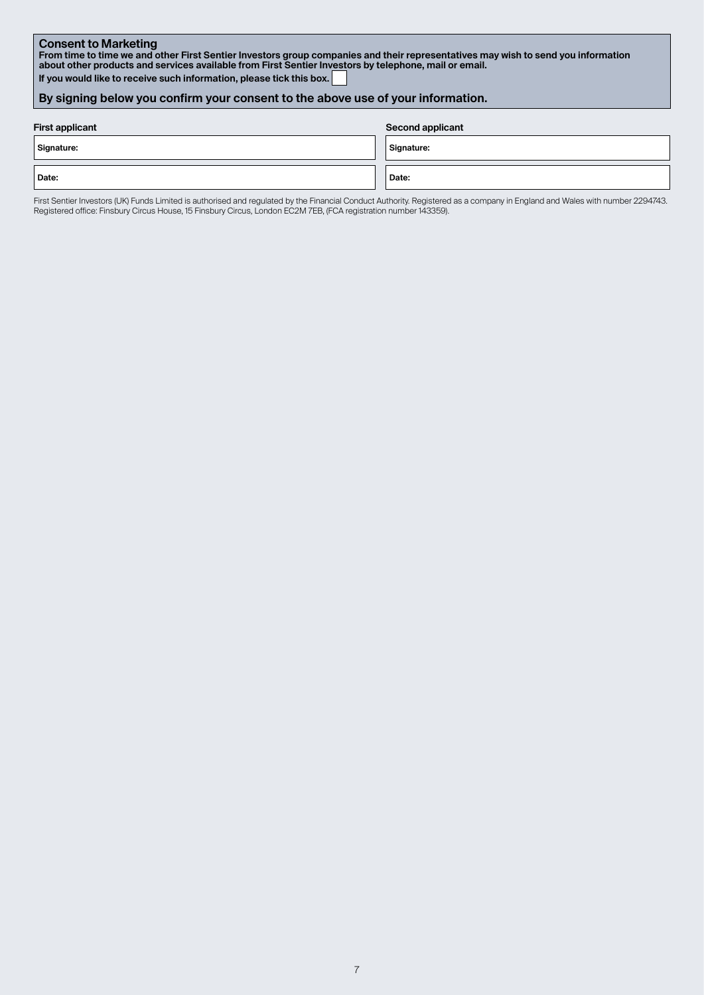**Consent to Marketing From time to time we and other First Sentier Investors group companies and their representatives may wish to send you information about other products and services available from First Sentier Investors by telephone, mail or email. If you would like to receive such information, please tick this box.** 

### **By signing below you confirm your consent to the above use of your information.**

| <b>First applicant</b> | <b>Second applicant</b> |
|------------------------|-------------------------|
| Signature:             | Signature:              |
| Date:                  | Date:                   |

First Sentier Investors (UK) Funds Limited is authorised and regulated by the Financial Conduct Authority. Registered as a company in England and Wales with number 2294743. Registered office: Finsbury Circus House, 15 Finsbury Circus, London EC2M 7EB, (FCA registration number 143359).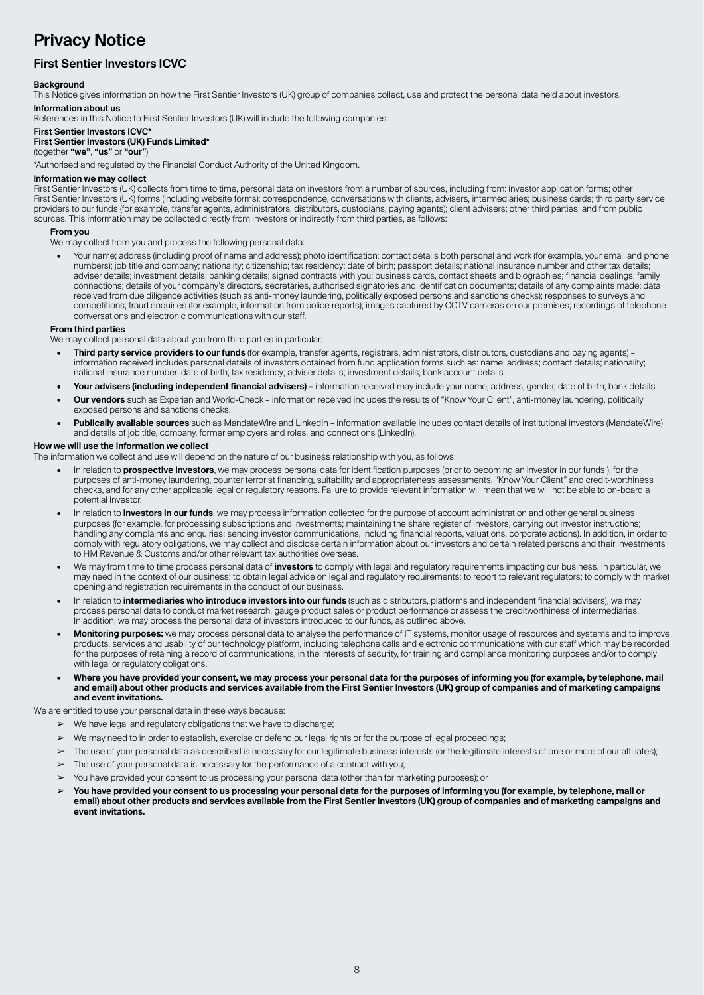# **Privacy Notice**

# **First Sentier Investors ICVC**

#### **Background**

This Notice gives information on how the First Sentier Investors (UK) group of companies collect, use and protect the personal data held about investors. **Information about us**

References in this Notice to First Sentier Investors (UK) will include the following companies:

#### **First Sentier Investors ICVC\***

#### **First Sentier Investors (UK) Funds Limited\***

(together **"we"**, **"us"** or **"our"**)

\*Authorised and regulated by the Financial Conduct Authority of the United Kingdom.

#### **Information we may collect**

First Sentier Investors (UK) collects from time to time, personal data on investors from a number of sources, including from: investor application forms; other First Sentier Investors (UK) forms (including website forms); correspondence, conversations with clients, advisers, intermediaries; business cards; third party service providers to our funds (for example, transfer agents, administrators, distributors, custodians, paying agents); client advisers; other third parties; and from public sources. This information may be collected directly from investors or indirectly from third parties, as follows:

#### **From you**

We may collect from you and process the following personal data:

• Your name; address (including proof of name and address); photo identification; contact details both personal and work (for example, your email and phone numbers); job title and company; nationality; citizenship; tax residency; date of birth; passport details; national insurance number and other tax details; adviser details; investment details; banking details; signed contracts with you; business cards, contact sheets and biographies; financial dealings; family connections; details of your company's directors, secretaries, authorised signatories and identification documents; details of any complaints made; data received from due diligence activities (such as anti-money laundering, politically exposed persons and sanctions checks); responses to surveys and competitions; fraud enquiries (for example, information from police reports); images captured by CCTV cameras on our premises; recordings of telephone conversations and electronic communications with our staff.

#### **From third parties**

We may collect personal data about you from third parties in particular:

- **• Third party service providers to our funds** (for example, transfer agents, registrars, administrators, distributors, custodians and paying agents) information received includes personal details of investors obtained from fund application forms such as: name; address; contact details; nationality; national insurance number; date of birth; tax residency; adviser details; investment details; bank account details.
- **• Your advisers (including independent financial advisers) –** information received may include your name, address, gender, date of birth; bank details.
- **• Our vendors** such as Experian and World-Check information received includes the results of "Know Your Client", anti-money laundering, politically exposed persons and sanctions checks.
- **• Publically available sources** such as MandateWire and LinkedIn information available includes contact details of institutional investors (MandateWire) and details of job title, company, former employers and roles, and connections (LinkedIn).

#### **How we will use the information we collect**

The information we collect and use will depend on the nature of our business relationship with you, as follows:

- In relation to **prospective investors**, we may process personal data for identification purposes (prior to becoming an investor in our funds ), for the purposes of anti-money laundering, counter terrorist financing, suitability and appropriateness assessments, "Know Your Client" and credit-worthiness checks, and for any other applicable legal or regulatory reasons. Failure to provide relevant information will mean that we will not be able to on-board a potential investor.
- In relation to **investors in our funds**, we may process information collected for the purpose of account administration and other general business purposes (for example, for processing subscriptions and investments; maintaining the share register of investors, carrying out investor instructions; handling any complaints and enquiries; sending investor communications, including financial reports, valuations, corporate actions). In addition, in order to comply with regulatory obligations, we may collect and disclose certain information about our investors and certain related persons and their investments to HM Revenue & Customs and/or other relevant tax authorities overseas.
- We may from time to time process personal data of **investors** to comply with legal and regulatory requirements impacting our business. In particular, we may need in the context of our business: to obtain legal advice on legal and regulatory requirements; to report to relevant regulators; to comply with market opening and registration requirements in the conduct of our business.
- In relation to **intermediaries who introduce investors into our funds** (such as distributors, platforms and independent financial advisers), we may process personal data to conduct market research, gauge product sales or product performance or assess the creditworthiness of intermediaries. In addition, we may process the personal data of investors introduced to our funds, as outlined above.
- **• Monitoring purposes:** we may process personal data to analyse the performance of IT systems, monitor usage of resources and systems and to improve products, services and usability of our technology platform, including telephone calls and electronic communications with our staff which may be recorded for the purposes of retaining a record of communications, in the interests of security, for training and compliance monitoring purposes and/or to comply with legal or regulatory obligations.
- **• Where you have provided your consent, we may process your personal data for the purposes of informing you (for example, by telephone, mail and email) about other products and services available from the First Sentier Investors (UK) group of companies and of marketing campaigns and event invitations.**

We are entitled to use your personal data in these ways because:

- $\triangleright$  We have legal and regulatory obligations that we have to discharge;
- We may need to in order to establish, exercise or defend our legal rights or for the purpose of legal proceedings;
- ➢ The use of your personal data as described is necessary for our legitimate business interests (or the legitimate interests of one or more of our affiliates);
- $\triangleright$  The use of your personal data is necessary for the performance of a contract with you;
- ➢ You have provided your consent to us processing your personal data (other than for marketing purposes); or
- ➢ **You have provided your consent to us processing your personal data for the purposes of informing you (for example, by telephone, mail or email) about other products and services available from the First Sentier Investors (UK) group of companies and of marketing campaigns and event invitations.**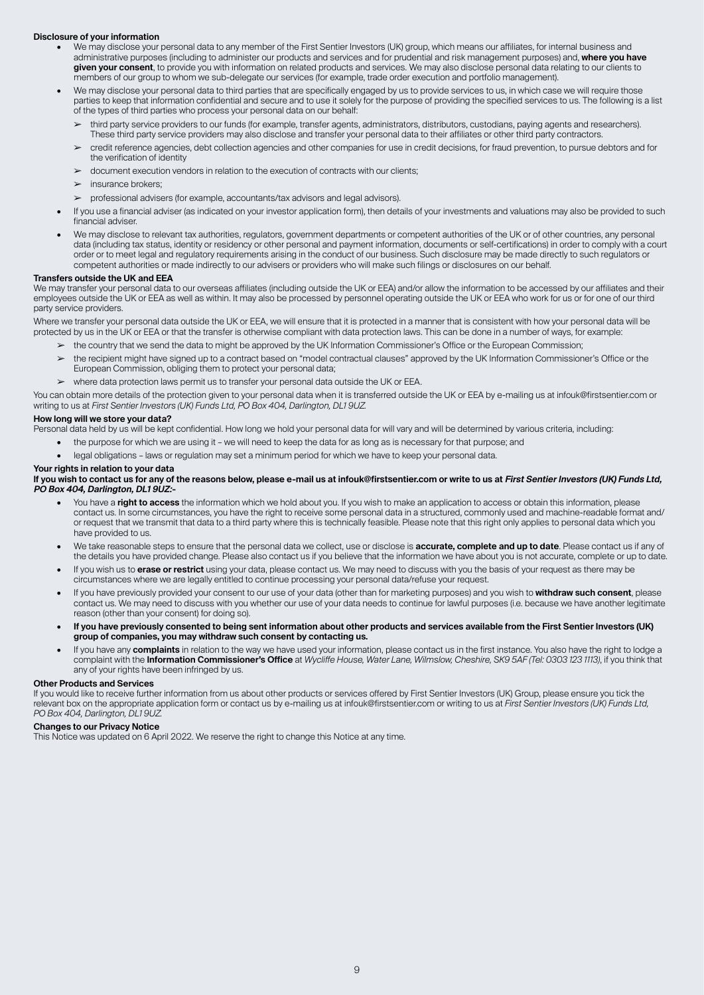#### **Disclosure of your information**

- We may disclose your personal data to any member of the First Sentier Investors (UK) group, which means our affiliates, for internal business and administrative purposes (including to administer our products and services and for prudential and risk management purposes) and, **where you have given your consent**, to provide you with information on related products and services. We may also disclose personal data relating to our clients to members of our group to whom we sub-delegate our services (for example, trade order execution and portfolio management).
- We may disclose your personal data to third parties that are specifically engaged by us to provide services to us, in which case we will require those parties to keep that information confidential and secure and to use it solely for the purpose of providing the specified services to us. The following is a list of the types of third parties who process your personal data on our behalf:
	- ➢ third party service providers to our funds (for example, transfer agents, administrators, distributors, custodians, paying agents and researchers). These third party service providers may also disclose and transfer your personal data to their affiliates or other third party contractors.
	- ➢ credit reference agencies, debt collection agencies and other companies for use in credit decisions, for fraud prevention, to pursue debtors and for the verification of identity
	- ➢ document execution vendors in relation to the execution of contracts with our clients;
	- $\blacktriangleright$  insurance brokers:
	- ➢ professional advisers (for example, accountants/tax advisors and legal advisors).
- If you use a financial adviser (as indicated on your investor application form), then details of your investments and valuations may also be provided to such financial adviser.
- We may disclose to relevant tax authorities, regulators, government departments or competent authorities of the UK or of other countries, any personal data (including tax status, identity or residency or other personal and payment information, documents or self-certifications) in order to comply with a court order or to meet legal and regulatory requirements arising in the conduct of our business. Such disclosure may be made directly to such regulators or competent authorities or made indirectly to our advisers or providers who will make such filings or disclosures on our behalf.

#### **Transfers outside the UK and EEA**

We may transfer your personal data to our overseas affiliates (including outside the UK or EEA) and/or allow the information to be accessed by our affiliates and their employees outside the UK or EEA as well as within. It may also be processed by personnel operating outside the UK or EEA who work for us or for one of our third party service providers.

Where we transfer your personal data outside the UK or EEA, we will ensure that it is protected in a manner that is consistent with how your personal data will be protected by us in the UK or EEA or that the transfer is otherwise compliant with data protection laws. This can be done in a number of ways, for example:

➢ the country that we send the data to might be approved by the UK Information Commissioner's Office or the European Commission;

- the recipient might have signed up to a contract based on "model contractual clauses" approved by the UK Information Commissioner's Office or the European Commission, obliging them to protect your personal data;
- ➢ where data protection laws permit us to transfer your personal data outside the UK or EEA.

You can obtain more details of the protection given to your personal data when it is transferred outside the UK or EEA by e-mailing us at infouk@firstsentier.com or writing to us at *First Sentier Investors (UK) Funds Ltd, PO Box 404, Darlington, DL1 9UZ.*

#### **How long will we store your data?**

Personal data held by us will be kept confidential. How long we hold your personal data for will vary and will be determined by various criteria, including:

- the purpose for which we are using it we will need to keep the data for as long as is necessary for that purpose; and
- legal obligations laws or regulation may set a minimum period for which we have to keep your personal data.

#### **Your rights in relation to your data**

#### If you wish to contact us for any of the reasons below, please e-mail us at infouk@firstsentier.com or write to us at First Sentier Investors (UK) Funds Ltd. **PO Box 404, Darlington, DL1 9UZ:-**

- You have a **right to access** the information which we hold about you. If you wish to make an application to access or obtain this information, please contact us. In some circumstances, you have the right to receive some personal data in a structured, commonly used and machine-readable format and/ or request that we transmit that data to a third party where this is technically feasible. Please note that this right only applies to personal data which you have provided to us.
- We take reasonable steps to ensure that the personal data we collect, use or disclose is **accurate, complete and up to date**. Please contact us if any of the details you have provided change. Please also contact us if you believe that the information we have about you is not accurate, complete or up to date.
- If you wish us to **erase or restrict** using your data, please contact us. We may need to discuss with you the basis of your request as there may be circumstances where we are legally entitled to continue processing your personal data/refuse your request.
- If you have previously provided your consent to our use of your data (other than for marketing purposes) and you wish to **withdraw such consent**, please contact us. We may need to discuss with you whether our use of your data needs to continue for lawful purposes (i.e. because we have another legitimate reason (other than your consent) for doing so).
- **• If you have previously consented to being sent information about other products and services available from the First Sentier Investors (UK) group of companies, you may withdraw such consent by contacting us.**
- If you have any **complaints** in relation to the way we have used your information, please contact us in the first instance. You also have the right to lodge a complaint with the **Information Commissioner's Office** at *Wycliffe House, Water Lane, Wilmslow, Cheshire, SK9 5AF (Tel: 0303 123 1113)*, if you think that any of your rights have been infringed by us.

#### **Other Products and Services**

If you would like to receive further information from us about other products or services offered by First Sentier Investors (UK) Group, please ensure you tick the relevant box on the appropriate application form or contact us by e-mailing us at infouk@firstsentier.com or writing to us at *First Sentier Investors (UK) Funds Ltd, PO Box 404, Darlington, DL1 9UZ.*

#### **Changes to our Privacy Notice**

This Notice was updated on 6 April 2022. We reserve the right to change this Notice at any time.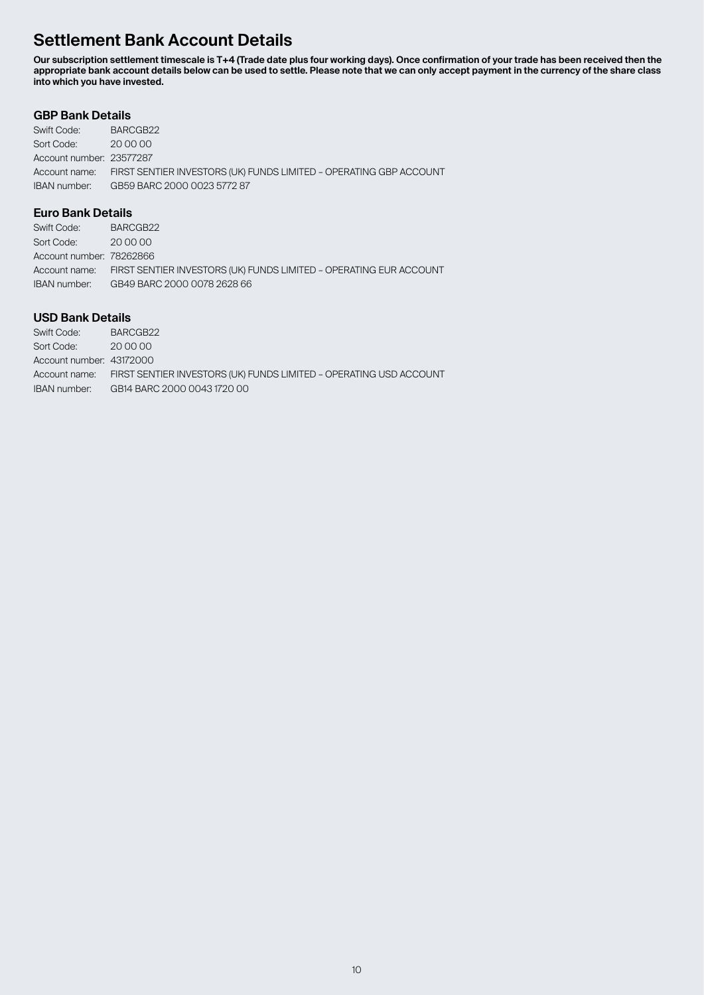# **Settlement Bank Account Details**

**Our subscription settlement timescale is T+4 (Trade date plus four working days). Once confirmation of your trade has been received then the appropriate bank account details below can be used to settle. Please note that we can only accept payment in the currency of the share class into which you have invested.**

## **GBP Bank Details**

| Swift Code:              | BARCGB22                                                                         |
|--------------------------|----------------------------------------------------------------------------------|
| Sort Code:               | 20 00 00                                                                         |
| Account number: 23577287 |                                                                                  |
|                          | Account name: FIRST SENTIER INVESTORS (UK) FUNDS LIMITED - OPERATING GBP ACCOUNT |
| IBAN number:             | GB59 BARC 2000 0023 5772 87                                                      |

### **Euro Bank Details**

| Swift Code:              | BARCGB22                                                                         |
|--------------------------|----------------------------------------------------------------------------------|
| Sort Code:               | 200000                                                                           |
| Account number: 78262866 |                                                                                  |
|                          | Account name: FIRST SENTIER INVESTORS (UK) FUNDS LIMITED - OPERATING EUR ACCOUNT |
| IBAN number:             | GB49 BARC 2000 0078 2628 66                                                      |

# **USD Bank Details**

| Swift Code:              | BARCGB22                                                                         |
|--------------------------|----------------------------------------------------------------------------------|
| Sort Code:               | 20 00 00                                                                         |
| Account number: 43172000 |                                                                                  |
|                          | Account name: FIRST SENTIER INVESTORS (UK) FUNDS LIMITED - OPERATING USD ACCOUNT |
| IBAN number:             | GB14 BARC 2000 0043 1720 00                                                      |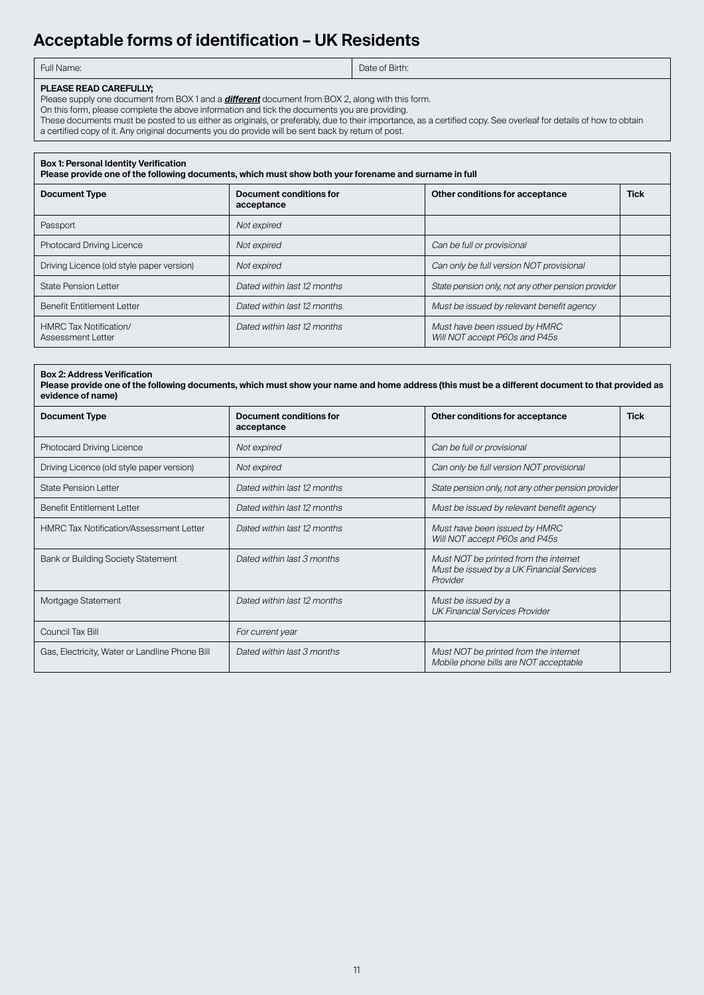# **Acceptable forms of identification – UK Residents**

| Full Name: |
|------------|
|            |

Date of Birth:

#### **PLEASE READ CAREFULLY;**

Please supply one document from BOX 1 and a **different** document from BOX 2, along with this form.

On this form, please complete the above information and tick the documents you are providing.

These documents must be posted to us either as originals, or preferably, due to their importance, as a certified copy. See overleaf for details of how to obtain a certified copy of it. Any original documents you do provide will be sent back by return of post.

#### **Box 1: Personal Identity Verification**

**Please provide one of the following documents, which must show both your forename and surname in full**

| <b>Document Type</b>                        | Document conditions for<br>acceptance | Other conditions for acceptance                                | <b>Tick</b> |
|---------------------------------------------|---------------------------------------|----------------------------------------------------------------|-------------|
| Passport                                    | Not expired                           |                                                                |             |
| <b>Photocard Driving Licence</b>            | Not expired                           | Can be full or provisional                                     |             |
| Driving Licence (old style paper version)   | Not expired                           | Can only be full version NOT provisional                       |             |
| <b>State Pension Letter</b>                 | Dated within last 12 months           | State pension only, not any other pension provider             |             |
| <b>Benefit Entitlement Letter</b>           | Dated within last 12 months           | Must be issued by relevant benefit agency                      |             |
| HMRC Tax Notification/<br>Assessment Letter | Dated within last 12 months           | Must have been issued by HMRC<br>Will NOT accept P60s and P45s |             |

# **Box 2: Address Verification**

**Please provide one of the following documents, which must show your name and home address (this must be a different document to that provided as evidence of name)**

| <b>Document Type</b>                           | Document conditions for<br>acceptance | Other conditions for acceptance                                                                | <b>Tick</b> |
|------------------------------------------------|---------------------------------------|------------------------------------------------------------------------------------------------|-------------|
| <b>Photocard Driving Licence</b>               | Not expired                           | Can be full or provisional                                                                     |             |
| Driving Licence (old style paper version)      | Not expired                           | Can only be full version NOT provisional                                                       |             |
| <b>State Pension Letter</b>                    | Dated within last 12 months           | State pension only, not any other pension provider                                             |             |
| <b>Benefit Entitlement Letter</b>              | Dated within last 12 months           | Must be issued by relevant benefit agency                                                      |             |
| <b>HMRC Tax Notification/Assessment Letter</b> | Dated within last 12 months           | Must have been issued by HMRC<br>Will NOT accept P60s and P45s                                 |             |
| Bank or Building Society Statement             | Dated within last 3 months            | Must NOT be printed from the internet<br>Must be issued by a UK Financial Services<br>Provider |             |
| Mortgage Statement                             | Dated within last 12 months           | Must be issued by a<br><b>UK Financial Services Provider</b>                                   |             |
| Council Tax Bill                               | For current year                      |                                                                                                |             |
| Gas, Electricity, Water or Landline Phone Bill | Dated within last 3 months            | Must NOT be printed from the internet<br>Mobile phone bills are NOT acceptable                 |             |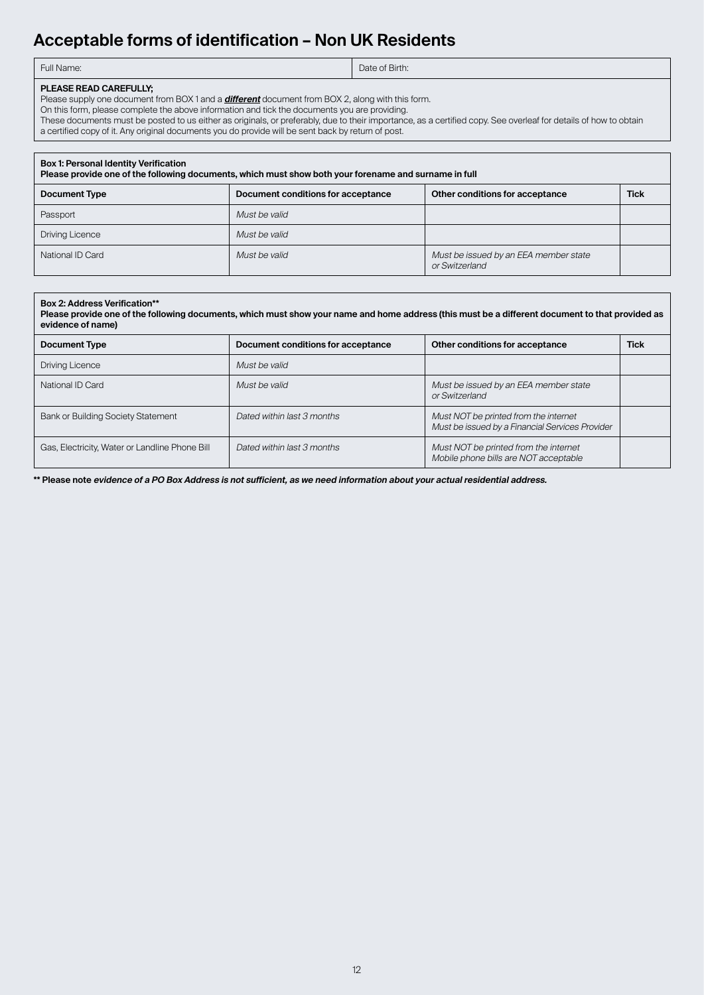# **Acceptable forms of identification – Non UK Residents**

| Full Name: | Date of Birth: |
|------------|----------------|
|            |                |

### **PLEASE READ CAREFULLY;**

Please supply one document from BOX 1 and a **different** document from BOX 2, along with this form.

On this form, please complete the above information and tick the documents you are providing.

These documents must be posted to us either as originals, or preferably, due to their importance, as a certified copy. See overleaf for details of how to obtain a certified copy of it. Any original documents you do provide will be sent back by return of post.

#### **Box 1: Personal Identity Verification**

| Please provide one of the following documents, which must show both your forename and surname in full |                                    |                                                         |             |  |
|-------------------------------------------------------------------------------------------------------|------------------------------------|---------------------------------------------------------|-------------|--|
| <b>Document Type</b>                                                                                  | Document conditions for acceptance | Other conditions for acceptance                         | <b>Tick</b> |  |
| Passport                                                                                              | Must be valid                      |                                                         |             |  |
| <b>Driving Licence</b>                                                                                | Must be valid                      |                                                         |             |  |
| National ID Card                                                                                      | Must be valid                      | Must be issued by an EEA member state<br>or Switzerland |             |  |

#### **Box 2: Address Verification\*\***

**Please provide one of the following documents, which must show your name and home address (this must be a different document to that provided as evidence of name)**

| <b>Document Type</b>                           | Document conditions for acceptance | Other conditions for acceptance                                                          | <b>Tick</b> |
|------------------------------------------------|------------------------------------|------------------------------------------------------------------------------------------|-------------|
| Driving Licence                                | Must be valid                      |                                                                                          |             |
| National ID Card                               | Must be valid                      | Must be issued by an EEA member state<br>or Switzerland                                  |             |
| Bank or Building Society Statement             | Dated within last 3 months         | Must NOT be printed from the internet<br>Must be issued by a Financial Services Provider |             |
| Gas, Electricity, Water or Landline Phone Bill | Dated within last 3 months         | Must NOT be printed from the internet<br>Mobile phone bills are NOT acceptable           |             |

**\*\* Please note evidence of a PO Box Address is not sufficient, as we need information about your actual residential address.**